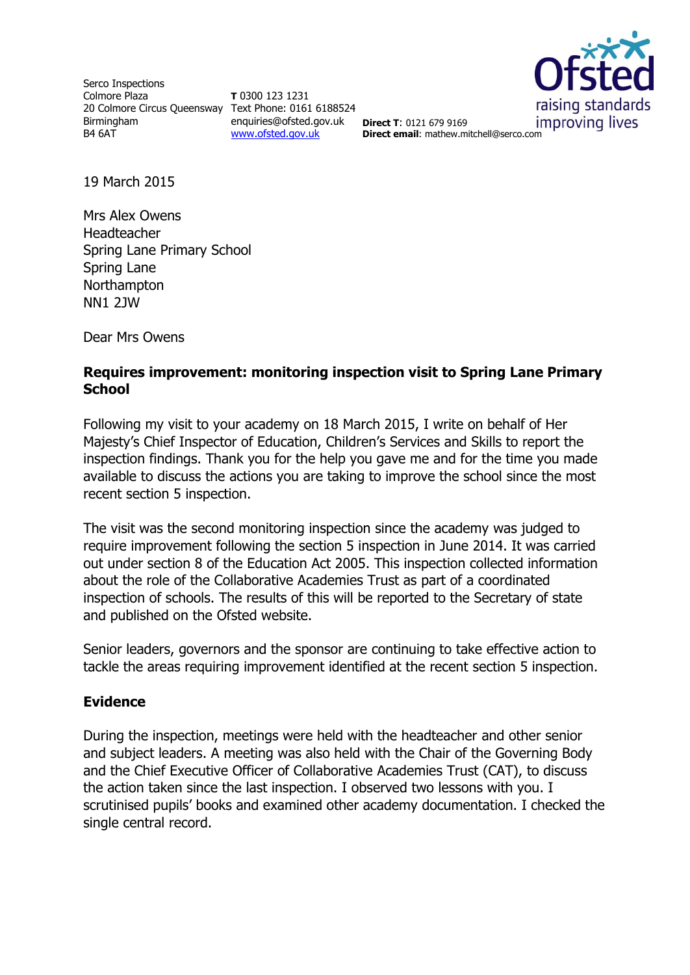Serco Inspections Colmore Plaza 20 Colmore Circus Queensway Text Phone: 0161 6188524 Birmingham B4 6AT

**T** 0300 123 1231 enquiries@ofsted.gov.uk **Direct T**: 0121 679 9169 [www.ofsted.gov.uk](http://www.ofsted.gov.uk/)



**Direct email**: mathew.mitchell@serco.com

19 March 2015

Mrs Alex Owens Headteacher Spring Lane Primary School Spring Lane Northampton NN1 2JW

Dear Mrs Owens

## **Requires improvement: monitoring inspection visit to Spring Lane Primary School**

Following my visit to your academy on 18 March 2015, I write on behalf of Her Majesty's Chief Inspector of Education, Children's Services and Skills to report the inspection findings. Thank you for the help you gave me and for the time you made available to discuss the actions you are taking to improve the school since the most recent section 5 inspection.

The visit was the second monitoring inspection since the academy was judged to require improvement following the section 5 inspection in June 2014. It was carried out under section 8 of the Education Act 2005. This inspection collected information about the role of the Collaborative Academies Trust as part of a coordinated inspection of schools. The results of this will be reported to the Secretary of state and published on the Ofsted website.

Senior leaders, governors and the sponsor are continuing to take effective action to tackle the areas requiring improvement identified at the recent section 5 inspection.

# **Evidence**

During the inspection, meetings were held with the headteacher and other senior and subject leaders. A meeting was also held with the Chair of the Governing Body and the Chief Executive Officer of Collaborative Academies Trust (CAT), to discuss the action taken since the last inspection. I observed two lessons with you. I scrutinised pupils' books and examined other academy documentation. I checked the single central record.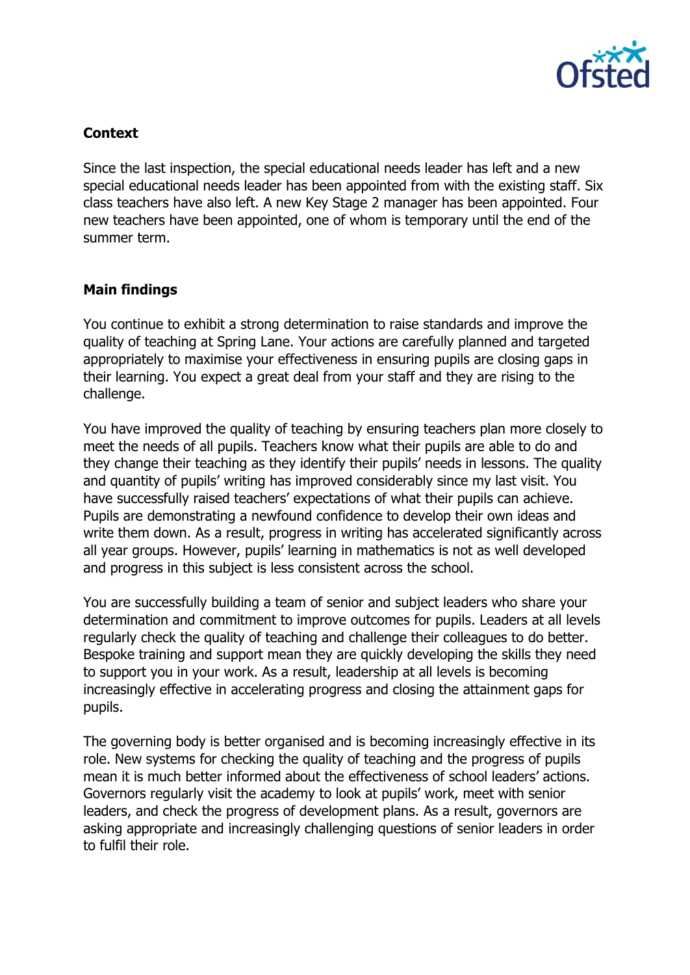

# **Context**

Since the last inspection, the special educational needs leader has left and a new special educational needs leader has been appointed from with the existing staff. Six class teachers have also left. A new Key Stage 2 manager has been appointed. Four new teachers have been appointed, one of whom is temporary until the end of the summer term.

# **Main findings**

You continue to exhibit a strong determination to raise standards and improve the quality of teaching at Spring Lane. Your actions are carefully planned and targeted appropriately to maximise your effectiveness in ensuring pupils are closing gaps in their learning. You expect a great deal from your staff and they are rising to the challenge.

You have improved the quality of teaching by ensuring teachers plan more closely to meet the needs of all pupils. Teachers know what their pupils are able to do and they change their teaching as they identify their pupils' needs in lessons. The quality and quantity of pupils' writing has improved considerably since my last visit. You have successfully raised teachers' expectations of what their pupils can achieve. Pupils are demonstrating a newfound confidence to develop their own ideas and write them down. As a result, progress in writing has accelerated significantly across all year groups. However, pupils' learning in mathematics is not as well developed and progress in this subject is less consistent across the school.

You are successfully building a team of senior and subject leaders who share your determination and commitment to improve outcomes for pupils. Leaders at all levels regularly check the quality of teaching and challenge their colleagues to do better. Bespoke training and support mean they are quickly developing the skills they need to support you in your work. As a result, leadership at all levels is becoming increasingly effective in accelerating progress and closing the attainment gaps for pupils.

The governing body is better organised and is becoming increasingly effective in its role. New systems for checking the quality of teaching and the progress of pupils mean it is much better informed about the effectiveness of school leaders' actions. Governors regularly visit the academy to look at pupils' work, meet with senior leaders, and check the progress of development plans. As a result, governors are asking appropriate and increasingly challenging questions of senior leaders in order to fulfil their role.